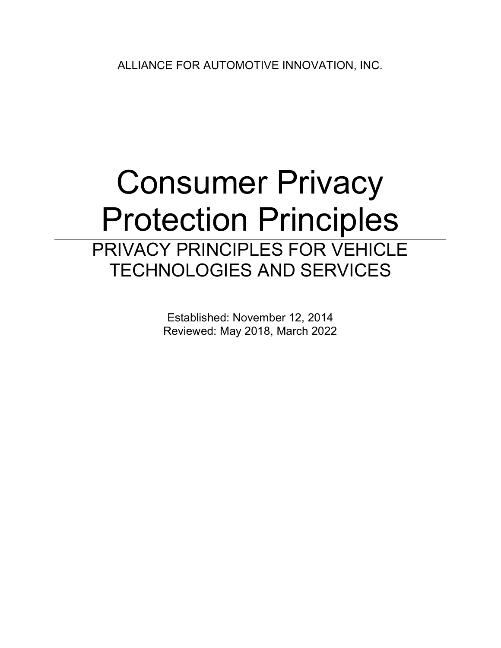# Consumer Privacy Protection Principles PRIVACY PRINCIPLES FOR VEHICLE TECHNOLOGIES AND SERVICES

Established: November 12, 2014 Reviewed: May 2018, March 2022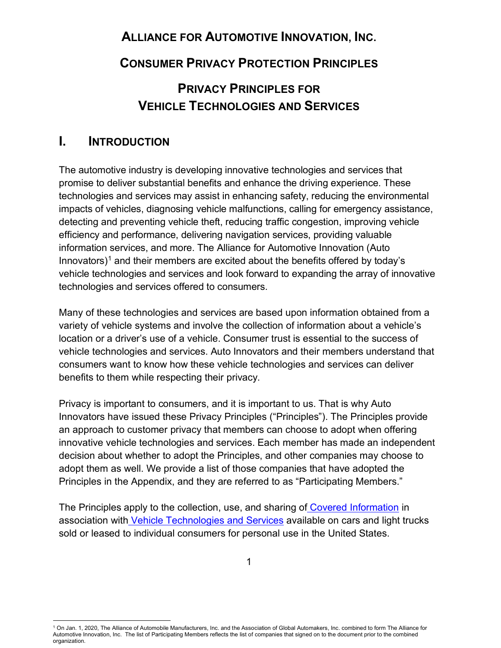# **ALLIANCE FOR AUTOMOTIVE INNOVATION, INC. CONSUMER PRIVACY PROTECTION PRINCIPLES PRIVACY PRINCIPLES FOR VEHICLE TECHNOLOGIES AND SERVICES**

### **I. INTRODUCTION**

The automotive industry is developing innovative technologies and services that promise to deliver substantial benefits and enhance the driving experience. These technologies and services may assist in enhancing safety, reducing the environmental impacts of vehicles, diagnosing vehicle malfunctions, calling for emergency assistance, detecting and preventing vehicle theft, reducing traffic congestion, improving vehicle efficiency and performance, delivering navigation services, providing valuable information services, and more. The Alliance for Automotive Innovation (Auto Innovators)<sup>[1](#page-1-0)</sup> and their members are excited about the benefits offered by today's vehicle technologies and services and look forward to expanding the array of innovative technologies and services offered to consumers.

Many of these technologies and services are based upon information obtained from a variety of vehicle systems and involve the collection of information about a vehicle's location or a driver's use of a vehicle. Consumer trust is essential to the success of vehicle technologies and services. Auto Innovators and their members understand that consumers want to know how these vehicle technologies and services can deliver benefits to them while respecting their privacy.

Privacy is important to consumers, and it is important to us. That is why Auto Innovators have issued these Privacy Principles ("Principles"). The Principles provide an approach to customer privacy that members can choose to adopt when offering innovative vehicle technologies and services. Each member has made an independent decision about whether to adopt the Principles, and other companies may choose to adopt them as well. We provide a list of those companies that have adopted the Principles in the Appendix, and they are referred to as "Participating Members."

The Principles apply to the collection, use, and sharing of Covered Information in association with Vehicle Technologies and Services available on cars and light trucks sold or leased to individual consumers for personal use in the United States.

<span id="page-1-0"></span><sup>1</sup> On Jan. 1, 2020, The Alliance of Automobile Manufacturers, Inc. and the Association of Global Automakers, Inc. combined to form The Alliance for Automotive Innovation, Inc. The list of Participating Members reflects the list of companies that signed on to the document prior to the combined organization.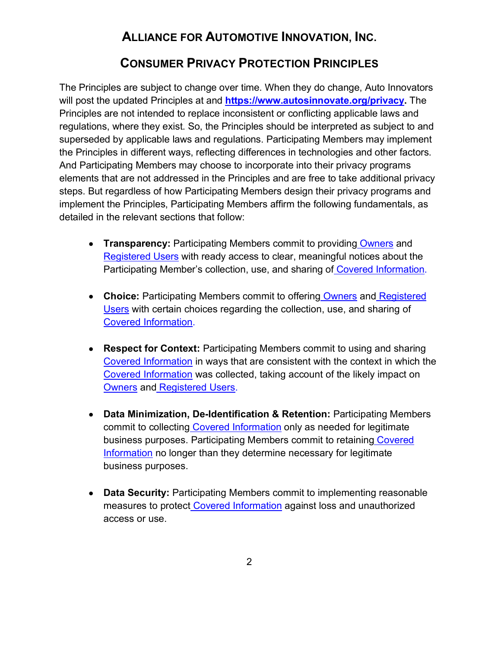#### **CONSUMER PRIVACY PROTECTION PRINCIPLES**

The Principles are subject to change over time. When they do change, Auto Innovators will post the updated Principles at and **[https://www.autosinnovate.org/privacy.](https://www.autosinnovate.org/privacy)** The Principles are not intended to replace inconsistent or conflicting applicable laws and regulations, where they exist. So, the Principles should be interpreted as subject to and superseded by applicable laws and regulations. Participating Members may implement the Principles in different ways, reflecting differences in technologies and other factors. And Participating Members may choose to incorporate into their privacy programs elements that are not addressed in the Principles and are free to take additional privacy steps. But regardless of how Participating Members design their privacy programs and implement the Principles, Participating Members affirm the following fundamentals, as detailed in the relevant sections that follow:

- **Transparency:** Participating Members commit to providing Owners and Registered Users with ready access to clear, meaningful notices about the Participating Member's collection, use, and sharing of Covered Information.
- **Choice:** Participating Members commit to offering Owners and Registered Users with certain choices regarding the collection, use, and sharing of Covered Information.
- **Respect for Context:** Participating Members commit to using and sharing Covered Information in ways that are consistent with the context in which the Covered Information was collected, taking account of the likely impact on Owners and Registered Users.
- **Data Minimization, De-Identification & Retention:** Participating Members commit to collecting Covered Information only as needed for legitimate business purposes. Participating Members commit to retaining Covered Information no longer than they determine necessary for legitimate business purposes.
- **Data Security:** Participating Members commit to implementing reasonable measures to protect Covered Information against loss and unauthorized access or use.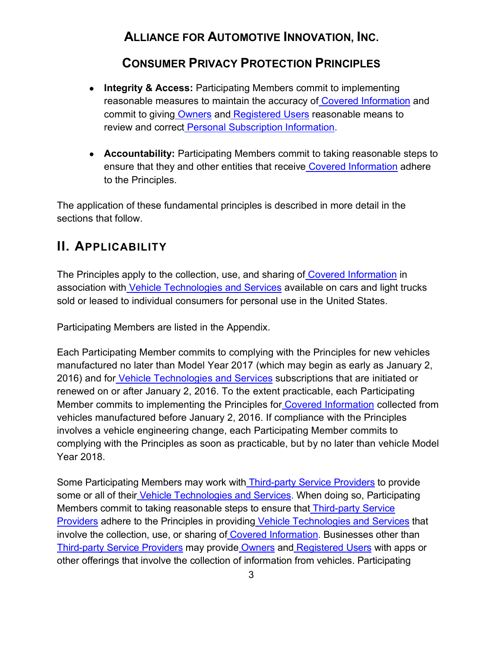#### **CONSUMER PRIVACY PROTECTION PRINCIPLES**

- **Integrity & Access:** Participating Members commit to implementing reasonable measures to maintain the accuracy of Covered Information and commit to giving Owners and Registered Users reasonable means to review and correct Personal Subscription Information.
- **Accountability:** Participating Members commit to taking reasonable steps to ensure that they and other entities that receive Covered Information adhere to the Principles.

The application of these fundamental principles is described in more detail in the sections that follow.

# **II. APPLICABILITY**

The Principles apply to the collection, use, and sharing of Covered Information in association with Vehicle Technologies and Services available on cars and light trucks sold or leased to individual consumers for personal use in the United States.

Participating Members are listed in the Appendix.

Each Participating Member commits to complying with the Principles for new vehicles manufactured no later than Model Year 2017 (which may begin as early as January 2, 2016) and for Vehicle Technologies and Services subscriptions that are initiated or renewed on or after January 2, 2016. To the extent practicable, each Participating Member commits to implementing the Principles for Covered Information collected from vehicles manufactured before January 2, 2016. If compliance with the Principles involves a vehicle engineering change, each Participating Member commits to complying with the Principles as soon as practicable, but by no later than vehicle Model Year 2018.

Some Participating Members may work with Third-party Service Providers to provide some or all of their Vehicle Technologies and Services. When doing so, Participating Members commit to taking reasonable steps to ensure that Third-party Service Providers adhere to the Principles in providing Vehicle Technologies and Services that involve the collection, use, or sharing of Covered Information. Businesses other than Third-party Service Providers may provide Owners and Registered Users with apps or other offerings that involve the collection of information from vehicles. Participating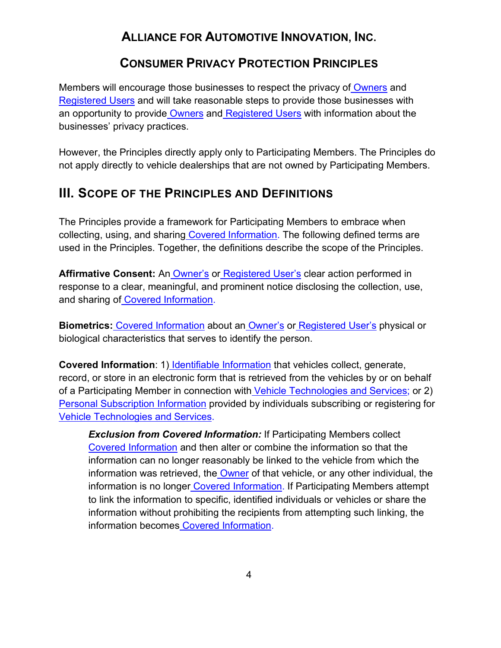#### **CONSUMER PRIVACY PROTECTION PRINCIPLES**

Members will encourage those businesses to respect the privacy of Owners and Registered Users and will take reasonable steps to provide those businesses with an opportunity to provide Owners and Registered Users with information about the businesses' privacy practices.

However, the Principles directly apply only to Participating Members. The Principles do not apply directly to vehicle dealerships that are not owned by Participating Members.

# **III. SCOPE OF THE PRINCIPLES AND DEFINITIONS**

The Principles provide a framework for Participating Members to embrace when collecting, using, and sharing Covered Information. The following defined terms are used in the Principles. Together, the definitions describe the scope of the Principles.

**Affirmative Consent:** An Owner's or Registered User's clear action performed in response to a clear, meaningful, and prominent notice disclosing the collection, use, and sharing of Covered Information.

**Biometrics:** Covered Information about an Owner's or Registered User's physical or biological characteristics that serves to identify the person.

**Covered Information: 1) Identifiable Information that vehicles collect, generate,** record, or store in an electronic form that is retrieved from the vehicles by or on behalf of a Participating Member in connection with Vehicle Technologies and Services; or 2) Personal Subscription Information provided by individuals subscribing or registering for Vehicle Technologies and Services.

**Exclusion from Covered Information:** If Participating Members collect Covered Information and then alter or combine the information so that the information can no longer reasonably be linked to the vehicle from which the information was retrieved, the Owner of that vehicle, or any other individual, the information is no longer Covered Information. If Participating Members attempt to link the information to specific, identified individuals or vehicles or share the information without prohibiting the recipients from attempting such linking, the information becomes Covered Information.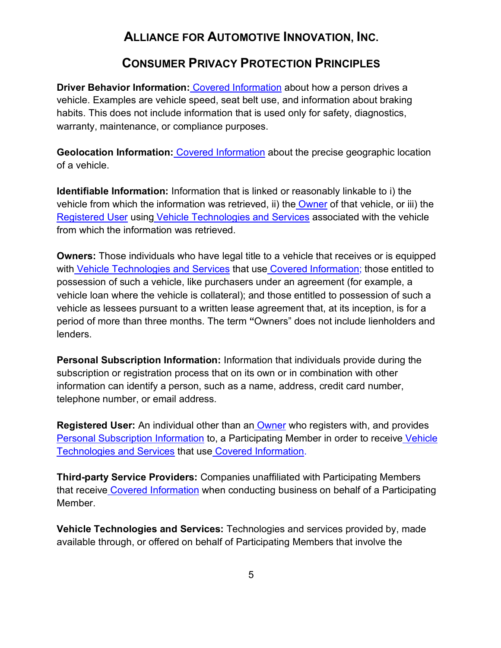#### **CONSUMER PRIVACY PROTECTION PRINCIPLES**

**Driver Behavior Information:** Covered Information about how a person drives a vehicle. Examples are vehicle speed, seat belt use, and information about braking habits. This does not include information that is used only for safety, diagnostics, warranty, maintenance, or compliance purposes.

**Geolocation Information:** Covered Information about the precise geographic location of a vehicle.

**Identifiable Information:** Information that is linked or reasonably linkable to i) the vehicle from which the information was retrieved, ii) the Owner of that vehicle, or iii) the Registered User using Vehicle Technologies and Services associated with the vehicle from which the information was retrieved.

**Owners:** Those individuals who have legal title to a vehicle that receives or is equipped with Vehicle Technologies and Services that use Covered Information; those entitled to possession of such a vehicle, like purchasers under an agreement (for example, a vehicle loan where the vehicle is collateral); and those entitled to possession of such a vehicle as lessees pursuant to a written lease agreement that, at its inception, is for a period of more than three months. The term **"**Owners" does not include lienholders and lenders.

**Personal Subscription Information:** Information that individuals provide during the subscription or registration process that on its own or in combination with other information can identify a person, such as a name, address, credit card number, telephone number, or email address.

**Registered User:** An individual other than an Owner who registers with, and provides Personal Subscription Information to, a Participating Member in order to receive Vehicle Technologies and Services that use Covered Information.

**Third-party Service Providers:** Companies unaffiliated with Participating Members that receive Covered Information when conducting business on behalf of a Participating Member.

**Vehicle Technologies and Services:** Technologies and services provided by, made available through, or offered on behalf of Participating Members that involve the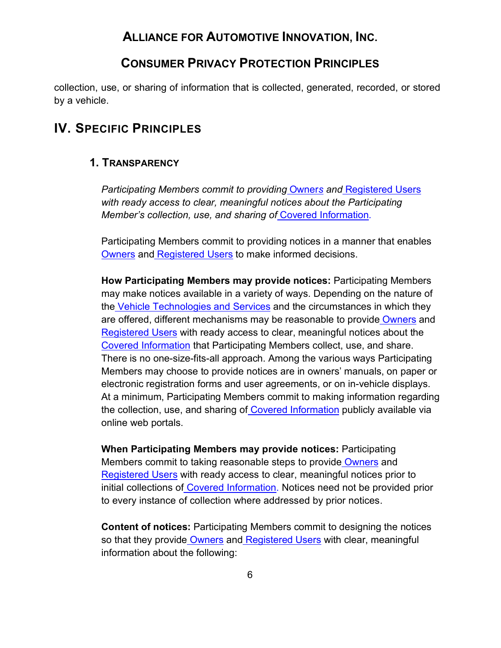#### **CONSUMER PRIVACY PROTECTION PRINCIPLES**

collection, use, or sharing of information that is collected, generated, recorded, or stored by a vehicle.

#### **IV. SPECIFIC PRINCIPLES**

#### **1. TRANSPARENCY**

*Participating Members commit to providing* Owner*s and* Registered Users *with ready access to clear, meaningful notices about the Participating Member's collection, use, and sharing of* Covered Information*.*

Participating Members commit to providing notices in a manner that enables Owners and Registered Users to make informed decisions.

**How Participating Members may provide notices:** Participating Members may make notices available in a variety of ways. Depending on the nature of the Vehicle Technologies and Services and the circumstances in which they are offered, different mechanisms may be reasonable to provide Owners and Registered Users with ready access to clear, meaningful notices about the Covered Information that Participating Members collect, use, and share. There is no one-size-fits-all approach. Among the various ways Participating Members may choose to provide notices are in owners' manuals, on paper or electronic registration forms and user agreements, or on in-vehicle displays. At a minimum, Participating Members commit to making information regarding the collection, use, and sharing of Covered Information publicly available via online web portals.

**When Participating Members may provide notices:** Participating Members commit to taking reasonable steps to provide Owners and Registered Users with ready access to clear, meaningful notices prior to initial collections of Covered Information. Notices need not be provided prior to every instance of collection where addressed by prior notices.

**Content of notices:** Participating Members commit to designing the notices so that they provide Owners and Registered Users with clear, meaningful information about the following: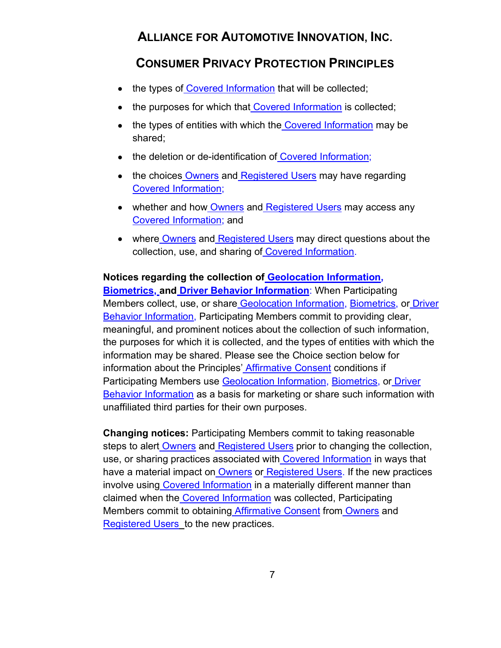#### **CONSUMER PRIVACY PROTECTION PRINCIPLES**

- the types of Covered Information that will be collected;
- the purposes for which that Covered Information is collected;
- the types of entities with which the Covered Information may be shared;
- the deletion or de-identification of Covered Information;
- the choices Owners and Registered Users may have regarding Covered Information;
- whether and how Owners and Registered Users may access any Covered Information; and
- where Owners and Registered Users may direct questions about the collection, use, and sharing of Covered Information.

#### **Notices regarding the collection of Geolocation Information,**

**Biometrics, and Driver Behavior Information**: When Participating Members collect, use, or share Geolocation Information, Biometrics, or Driver Behavior Information, Participating Members commit to providing clear, meaningful, and prominent notices about the collection of such information, the purposes for which it is collected, and the types of entities with which the information may be shared. Please see the Choice section below for information about the Principles' Affirmative Consent conditions if Participating Members use Geolocation Information, Biometrics, or Driver Behavior Information as a basis for marketing or share such information with unaffiliated third parties for their own purposes.

**Changing notices:** Participating Members commit to taking reasonable steps to alert Owners and Registered Users prior to changing the collection, use, or sharing practices associated with Covered Information in ways that have a material impact on Owners or Registered Users. If the new practices involve using Covered Information in a materially different manner than claimed when the Covered Information was collected, Participating Members commit to obtaining Affirmative Consent from Owners and Registered Users to the new practices.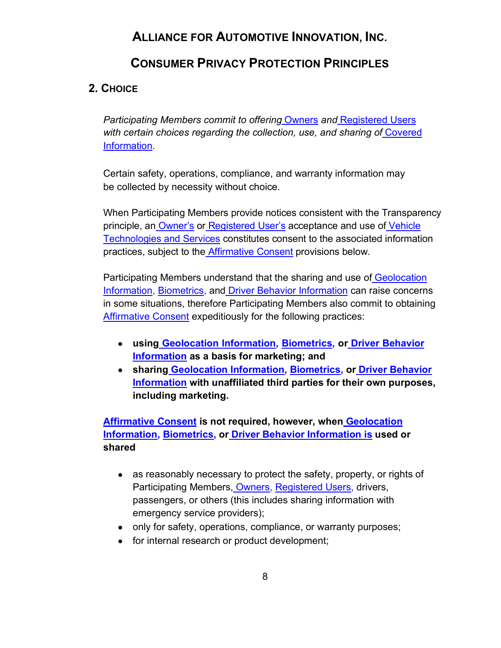#### **CONSUMER PRIVACY PROTECTION PRINCIPLES**

#### **2. CHOICE**

*Participating Members commit to offering* Owners *and* Registered Users *with certain choices regarding the collection, use, and sharing of* Covered Information*.*

Certain safety, operations, compliance, and warranty information may be collected by necessity without choice.

When Participating Members provide notices consistent with the Transparency principle, an Owner's or Registered User's acceptance and use of Vehicle Technologies and Services constitutes consent to the associated information practices, subject to the **Affirmative Consent** provisions below.

Participating Members understand that the sharing and use of Geolocation Information, Biometrics, and Driver Behavior Information can raise concerns in some situations, therefore Participating Members also commit to obtaining Affirmative Consent expeditiously for the following practices:

- **using Geolocation Information, Biometrics, or Driver Behavior Information as a basis for marketing; and**
- **sharing Geolocation Information, Biometrics, or Driver Behavior Information with unaffiliated third parties for their own purposes, including marketing.**

**Affirmative Consent is not required, however, when Geolocation Information, Biometrics, or Driver Behavior Information is used or shared**

- as reasonably necessary to protect the safety, property, or rights of Participating Members, Owners, Registered Users, drivers, passengers, or others (this includes sharing information with emergency service providers);
- only for safety, operations, compliance, or warranty purposes;
- for internal research or product development;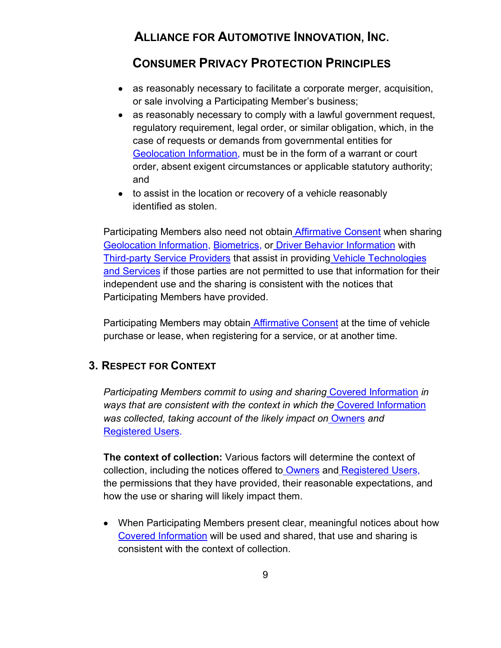#### **CONSUMER PRIVACY PROTECTION PRINCIPLES**

- as reasonably necessary to facilitate a corporate merger, acquisition, or sale involving a Participating Member's business;
- as reasonably necessary to comply with a lawful government request, regulatory requirement, legal order, or similar obligation, which, in the case of requests or demands from governmental entities for Geolocation Information, must be in the form of a warrant or court order, absent exigent circumstances or applicable statutory authority; and
- to assist in the location or recovery of a vehicle reasonably identified as stolen.

Participating Members also need not obtain Affirmative Consent when sharing Geolocation Information, Biometrics, or Driver Behavior Information with Third-party Service Providers that assist in providing Vehicle Technologies and Services if those parties are not permitted to use that information for their independent use and the sharing is consistent with the notices that Participating Members have provided.

Participating Members may obtain Affirmative Consent at the time of vehicle purchase or lease, when registering for a service, or at another time.

#### **3. RESPECT FOR CONTEXT**

*Participating Members commit to using and sharing* Covered Information *in ways that are consistent with the context in which the* Covered Information *was collected, taking account of the likely impact on* Owners *and* Registered Users.

**The context of collection:** Various factors will determine the context of collection, including the notices offered to Owners and Registered Users, the permissions that they have provided, their reasonable expectations, and how the use or sharing will likely impact them.

• When Participating Members present clear, meaningful notices about how Covered Information will be used and shared, that use and sharing is consistent with the context of collection.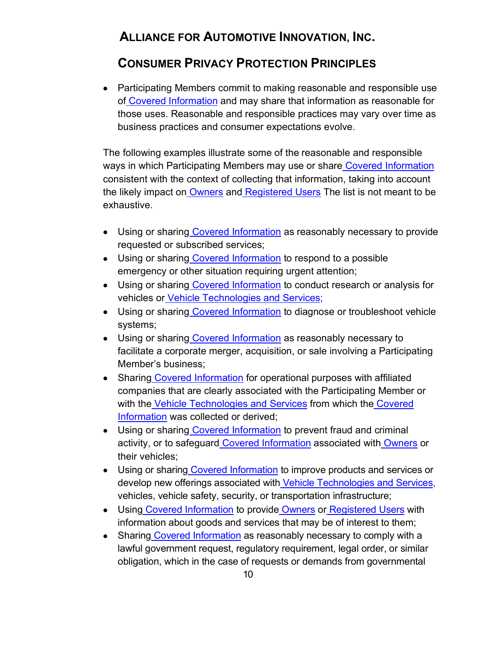#### **CONSUMER PRIVACY PROTECTION PRINCIPLES**

• Participating Members commit to making reasonable and responsible use of Covered Information and may share that information as reasonable for those uses. Reasonable and responsible practices may vary over time as business practices and consumer expectations evolve.

The following examples illustrate some of the reasonable and responsible ways in which Participating Members may use or share Covered Information consistent with the context of collecting that information, taking into account the likely impact on Owners and Registered Users The list is not meant to be exhaustive.

- Using or sharing Covered Information as reasonably necessary to provide requested or subscribed services;
- Using or sharing Covered Information to respond to a possible emergency or other situation requiring urgent attention;
- Using or sharing Covered Information to conduct research or analysis for vehicles or Vehicle Technologies and Services;
- Using or sharing Covered Information to diagnose or troubleshoot vehicle systems;
- Using or sharing Covered Information as reasonably necessary to facilitate a corporate merger, acquisition, or sale involving a Participating Member's business;
- Sharing Covered Information for operational purposes with affiliated companies that are clearly associated with the Participating Member or with the Vehicle Technologies and Services from which the Covered Information was collected or derived;
- Using or sharing Covered Information to prevent fraud and criminal activity, or to safeguard Covered Information associated with Owners or their vehicles;
- Using or sharing Covered Information to improve products and services or develop new offerings associated with Vehicle Technologies and Services, vehicles, vehicle safety, security, or transportation infrastructure;
- Using Covered Information to provide Owners or Registered Users with information about goods and services that may be of interest to them;
- Sharing Covered Information as reasonably necessary to comply with a lawful government request, regulatory requirement, legal order, or similar obligation, which in the case of requests or demands from governmental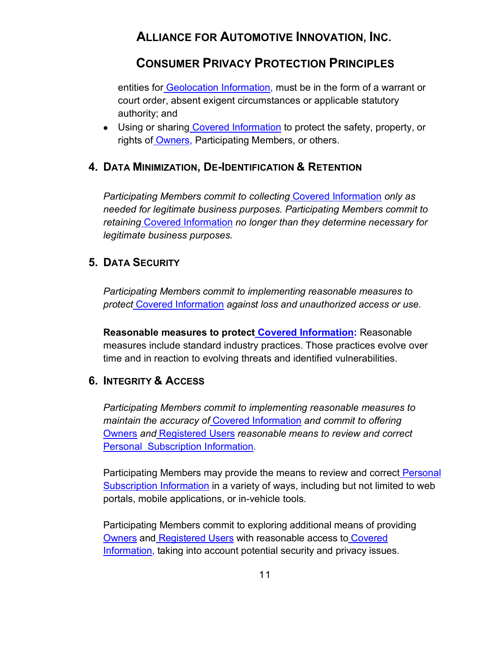#### **CONSUMER PRIVACY PROTECTION PRINCIPLES**

entities for Geolocation Information, must be in the form of a warrant or court order, absent exigent circumstances or applicable statutory authority; and

• Using or sharing Covered Information to protect the safety, property, or rights of Owners, Participating Members, or others.

#### **4. DATA MINIMIZATION, DE-IDENTIFICATION & RETENTION**

*Participating Members commit to collecting* Covered Information *only as needed for legitimate business purposes. Participating Members commit to retaining* Covered Information *no longer than they determine necessary for legitimate business purposes.*

#### **5. DATA SECURITY**

*Participating Members commit to implementing reasonable measures to protect* Covered Information *against loss and unauthorized access or use.*

**Reasonable measures to protect Covered Information:** Reasonable measures include standard industry practices. Those practices evolve over time and in reaction to evolving threats and identified vulnerabilities.

#### **6. INTEGRITY & ACCESS**

*Participating Members commit to implementing reasonable measures to maintain the accuracy of* Covered Information *and commit to offering* Owners *and* Registered Users *reasonable means to review and correct* Personal Subscription Information*.*

Participating Members may provide the means to review and correct Personal Subscription Information in a variety of ways, including but not limited to web portals, mobile applications, or in-vehicle tools.

Participating Members commit to exploring additional means of providing Owners and Registered Users with reasonable access to Covered Information, taking into account potential security and privacy issues.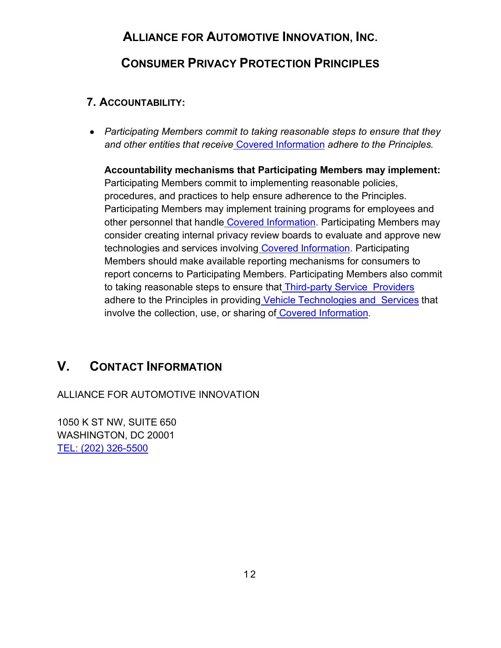# **ALLIANCE FOR AUTOMOTIVE INNOVATION, INC. CONSUMER PRIVACY PROTECTION PRINCIPLES**

#### **7. ACCOUNTABILITY:**

• *Participating Members commit to taking reasonable steps to ensure that they and other entities that receive* Covered Information *adhere to the Principles.*

**Accountability mechanisms that Participating Members may implement:**  Participating Members commit to implementing reasonable policies, procedures, and practices to help ensure adherence to the Principles. Participating Members may implement training programs for employees and other personnel that handle Covered Information. Participating Members may consider creating internal privacy review boards to evaluate and approve new technologies and services involving Covered Information. Participating Members should make available reporting mechanisms for consumers to report concerns to Participating Members. Participating Members also commit to taking reasonable steps to ensure that Third-party Service Providers adhere to the Principles in providing Vehicle Technologies and Services that involve the collection, use, or sharing of Covered Information.

# **V. CONTACT INFORMATION**

ALLIANCE FOR AUTOMOTIVE INNOVATION

1050 K ST NW, SUITE 650 WASHINGTON, DC 20001 [TEL: \(202\) 326-5500](tel:+1202326-5500)